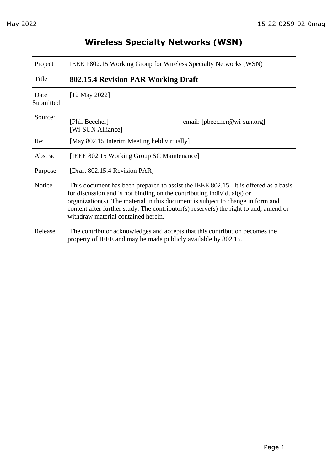| Project           | IEEE P802.15 Working Group for Wireless Specialty Networks (WSN)                                                                                                                                                                                                                                                                                                                 |
|-------------------|----------------------------------------------------------------------------------------------------------------------------------------------------------------------------------------------------------------------------------------------------------------------------------------------------------------------------------------------------------------------------------|
| Title             | 802.15.4 Revision PAR Working Draft                                                                                                                                                                                                                                                                                                                                              |
| Date<br>Submitted | [12 May 2022]                                                                                                                                                                                                                                                                                                                                                                    |
| Source:           | [Phil Beecher]<br>email: [pbeecher@wi-sun.org]<br>[Wi-SUN Alliance]                                                                                                                                                                                                                                                                                                              |
| Re:               | [May 802.15 Interim Meeting held virtually]                                                                                                                                                                                                                                                                                                                                      |
| Abstract          | [IEEE 802.15 Working Group SC Maintenance]                                                                                                                                                                                                                                                                                                                                       |
| Purpose           | [Draft 802.15.4 Revision PAR]                                                                                                                                                                                                                                                                                                                                                    |
| <b>Notice</b>     | This document has been prepared to assist the IEEE 802.15. It is offered as a basis<br>for discussion and is not binding on the contributing individual(s) or<br>organization(s). The material in this document is subject to change in form and<br>content after further study. The contributor(s) reserve(s) the right to add, amend or<br>withdraw material contained herein. |
| Release           | The contributor acknowledges and accepts that this contribution becomes the<br>property of IEEE and may be made publicly available by 802.15.                                                                                                                                                                                                                                    |

# **Wireless Specialty Networks (WSN)**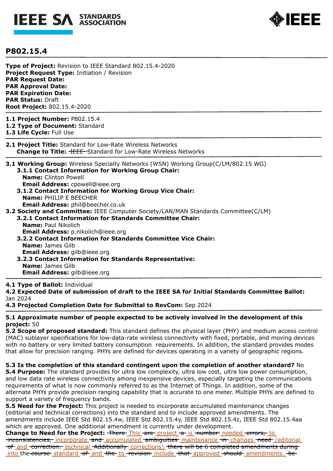



# **P802.15.4**

| Type of Project: Revision to IEEE Standard 802.15.4-2020<br><b>Project Request Type: Initiation / Revision</b><br><b>PAR Request Date:</b><br><b>PAR Approval Date:</b><br><b>PAR Expiration Date:</b><br><b>PAR Status: Draft</b><br>Root Project: 802.15.4-2020                                                                                                                                                                                                                                                                                                                                                                                                                                                                                                                                                                               |
|-------------------------------------------------------------------------------------------------------------------------------------------------------------------------------------------------------------------------------------------------------------------------------------------------------------------------------------------------------------------------------------------------------------------------------------------------------------------------------------------------------------------------------------------------------------------------------------------------------------------------------------------------------------------------------------------------------------------------------------------------------------------------------------------------------------------------------------------------|
| 1.1 Project Number: P802.15.4<br>1.2 Type of Document: Standard<br>1.3 Life Cycle: Full Use                                                                                                                                                                                                                                                                                                                                                                                                                                                                                                                                                                                                                                                                                                                                                     |
| 2.1 Project Title: Standard for Low-Rate Wireless Networks<br><b>Change to Title: HEEE-Standard for Low-Rate Wireless Networks</b>                                                                                                                                                                                                                                                                                                                                                                                                                                                                                                                                                                                                                                                                                                              |
| <b>3.1 Working Group:</b> Wireless Specialty Networks (WSN) Working Group(C/LM/802.15 WG)<br>3.1.1 Contact Information for Working Group Chair:<br><b>Name:</b> Clinton Powell<br>Email Address: cpowell@ieee.org<br>3.1.2 Contact Information for Working Group Vice Chair:<br><b>Name: PHILIP E BEECHER</b><br>Email Address: phil@beecher.co.uk<br>3.2 Society and Committee: IEEE Computer Society/LAN/MAN Standards Committee(C/LM)<br>3.2.1 Contact Information for Standards Committee Chair:<br><b>Name: Paul Nikolich</b><br><b>Email Address:</b> p.nikolich@ieee.org<br>3.2.2 Contact Information for Standards Committee Vice Chair:<br><b>Name: James Gilb</b><br><b>Email Address: gilb@ieee.org</b><br>3.2.3 Contact Information for Standards Representative:<br><b>Name: James Gilb</b><br><b>Email Address: gilb@ieee.org</b> |

#### **4.1 Type of Ballot:** Individual

**4.2 Expected Date of submission of draft to the IEEE SA for Initial Standards Committee Ballot:**  Jan 2024

**4.3 Projected Completion Date for Submittal to RevCom:** Sep 2024

### **5.1 Approximate number of people expected to be actively involved in the development of this project:** 50

**5.2 Scope of proposed standard:** This standard defines the physical layer (PHY) and medium access control (MAC) sublayer specifications for low-data-rate wireless connectivity with fixed, portable, and moving devices with no battery or very limited battery consumption requirements. In addition, the standard provides modes that allow for precision ranging. PHYs are defined for devices operating in a variety of geographic regions.

**5.3 Is the completion of this standard contingent upon the completion of another standard?** No **5.4 Purpose:** The standard provides for ultra low complexity, ultra low cost, ultra low power consumption, and low data rate wireless connectivity among inexpensive devices, especially targeting the communications requirements of what is now commonly referred to as the Internet of Things. In addition, some of the alternate PHYs provide precision ranging capability that is accurate to one meter. Multiple PHYs are defined to support a variety of frequency bands.

**5.5 Need for the Project:** This project is needed to incorporate accumulated maintenance changes (editorial and technical corrections) into the standard and to include approved amendments. The amendments include IEEE Std 802.15.4w, IEEE Std 802.15.4y, IEEE Std 802.15.4z, IEEE Std 802.15.4aa which are approved. One additional amendment is currently under development.

Change to Need for the Project: <del>There This are project a is number needed errors, to</del> inconsistencies, incorporate and accumulated ambiguities maintenance in changes need (editorial of and correction. technical Additionally corrections) there will be 6 completed amendments during into the course standard of and the to revision include that approved should amendments. be